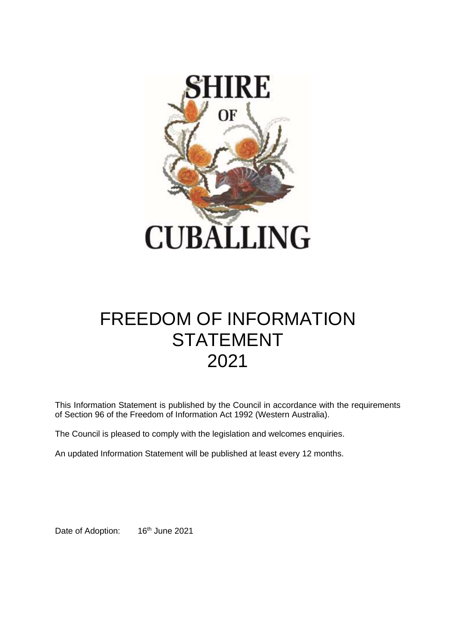

# FREEDOM OF INFORMATION **STATEMENT** 2021

This Information Statement is published by the Council in accordance with the requirements of Section 96 of the Freedom of Information Act 1992 (Western Australia).

The Council is pleased to comply with the legislation and welcomes enquiries.

An updated Information Statement will be published at least every 12 months.

Date of Adoption: 16<sup>th</sup> June 2021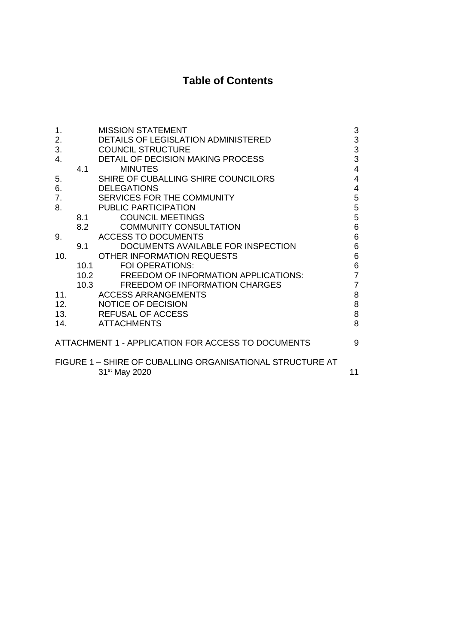## **Table of Contents**

| 1.  |      | <b>MISSION STATEMENT</b>                                  | 3              |
|-----|------|-----------------------------------------------------------|----------------|
| 2.  |      | <b>DETAILS OF LEGISLATION ADMINISTERED</b>                | $\mathsf 3$    |
| 3.  |      | <b>COUNCIL STRUCTURE</b>                                  | 3              |
| 4.  |      | <b>DETAIL OF DECISION MAKING PROCESS</b>                  | 3              |
|     | 4.1  | <b>MINUTES</b>                                            | 4              |
| 5.  |      | SHIRE OF CUBALLING SHIRE COUNCILORS                       | 4              |
| 6.  |      | <b>DELEGATIONS</b>                                        | 4              |
| 7.  |      | SERVICES FOR THE COMMUNITY                                | 5              |
| 8.  |      | <b>PUBLIC PARTICIPATION</b>                               | 5              |
|     | 8.1  | <b>COUNCIL MEETINGS</b>                                   | 5              |
|     | 8.2  | <b>COMMUNITY CONSULTATION</b>                             | 6              |
| 9.  |      | <b>ACCESS TO DOCUMENTS</b>                                | 6              |
|     | 9.1  | DOCUMENTS AVAILABLE FOR INSPECTION                        | 6              |
| 10. |      | OTHER INFORMATION REQUESTS                                | 6              |
|     | 10.1 | <b>FOI OPERATIONS:</b>                                    | 6              |
|     | 10.2 | <b>FREEDOM OF INFORMATION APPLICATIONS:</b>               | $\overline{7}$ |
|     | 10.3 | <b>FREEDOM OF INFORMATION CHARGES</b>                     | $\overline{7}$ |
| 11. |      | <b>ACCESS ARRANGEMENTS</b>                                | 8              |
| 12. |      | <b>NOTICE OF DECISION</b>                                 | 8              |
| 13. |      | <b>REFUSAL OF ACCESS</b>                                  | 8              |
| 14. |      | <b>ATTACHMENTS</b>                                        | 8              |
|     |      | ATTACHMENT 1 - APPLICATION FOR ACCESS TO DOCUMENTS        | 9              |
|     |      | FIGURE 1 - SHIRE OF CUBALLING ORGANISATIONAL STRUCTURE AT |                |
|     |      | 31 <sup>st</sup> May 2020                                 | 11             |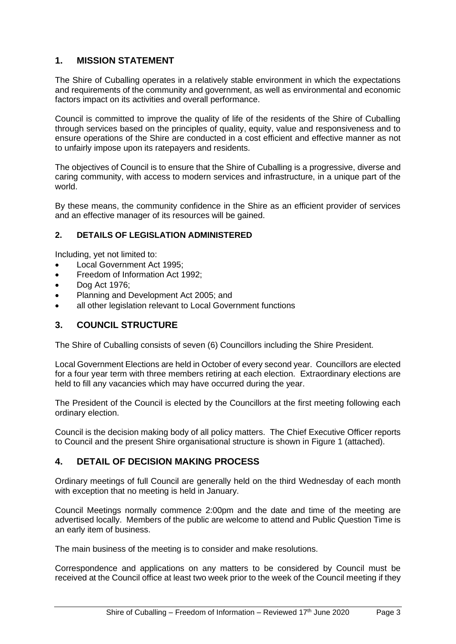## **1. MISSION STATEMENT**

The Shire of Cuballing operates in a relatively stable environment in which the expectations and requirements of the community and government, as well as environmental and economic factors impact on its activities and overall performance.

Council is committed to improve the quality of life of the residents of the Shire of Cuballing through services based on the principles of quality, equity, value and responsiveness and to ensure operations of the Shire are conducted in a cost efficient and effective manner as not to unfairly impose upon its ratepayers and residents.

The objectives of Council is to ensure that the Shire of Cuballing is a progressive, diverse and caring community, with access to modern services and infrastructure, in a unique part of the world.

By these means, the community confidence in the Shire as an efficient provider of services and an effective manager of its resources will be gained.

## **2. DETAILS OF LEGISLATION ADMINISTERED**

Including, yet not limited to:

- Local Government Act 1995;
- Freedom of Information Act 1992;
- Dog Act 1976;
- Planning and Development Act 2005; and
- all other legislation relevant to Local Government functions

## **3. COUNCIL STRUCTURE**

The Shire of Cuballing consists of seven (6) Councillors including the Shire President.

Local Government Elections are held in October of every second year. Councillors are elected for a four year term with three members retiring at each election. Extraordinary elections are held to fill any vacancies which may have occurred during the year.

The President of the Council is elected by the Councillors at the first meeting following each ordinary election.

Council is the decision making body of all policy matters. The Chief Executive Officer reports to Council and the present Shire organisational structure is shown in Figure 1 (attached).

## **4. DETAIL OF DECISION MAKING PROCESS**

Ordinary meetings of full Council are generally held on the third Wednesday of each month with exception that no meeting is held in January.

Council Meetings normally commence 2:00pm and the date and time of the meeting are advertised locally. Members of the public are welcome to attend and Public Question Time is an early item of business.

The main business of the meeting is to consider and make resolutions.

Correspondence and applications on any matters to be considered by Council must be received at the Council office at least two week prior to the week of the Council meeting if they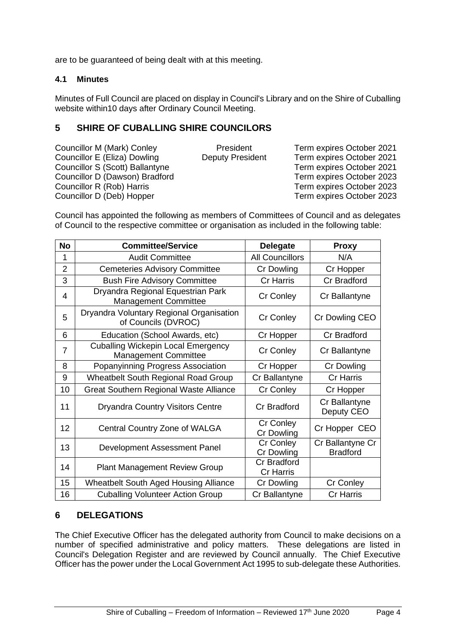are to be guaranteed of being dealt with at this meeting.

## **4.1 Minutes**

Minutes of Full Council are placed on display in Council's Library and on the Shire of Cuballing website within10 days after Ordinary Council Meeting.

## **5 SHIRE OF CUBALLING SHIRE COUNCILORS**

| Councillor M (Mark) Conley      | President               | Term expires October 2021 |
|---------------------------------|-------------------------|---------------------------|
| Councillor E (Eliza) Dowling    | <b>Deputy President</b> | Term expires October 2021 |
| Councillor S (Scott) Ballantyne |                         | Term expires October 2021 |
| Councillor D (Dawson) Bradford  |                         | Term expires October 2023 |
| Councillor R (Rob) Harris       |                         | Term expires October 2023 |
| Councillor D (Deb) Hopper       |                         | Term expires October 2023 |
|                                 |                         |                           |

Council has appointed the following as members of Committees of Council and as delegates of Council to the respective committee or organisation as included in the following table:

| <b>No</b>      | <b>Committee/Service</b>                                                 | <b>Delegate</b>                        | <b>Proxy</b>                        |
|----------------|--------------------------------------------------------------------------|----------------------------------------|-------------------------------------|
| 1              | <b>Audit Committee</b>                                                   | <b>All Councillors</b>                 | N/A                                 |
| 2              | <b>Cemeteries Advisory Committee</b>                                     | Cr Dowling                             | Cr Hopper                           |
| 3              | <b>Bush Fire Advisory Committee</b>                                      | <b>Cr Harris</b>                       | Cr Bradford                         |
| $\overline{4}$ | Dryandra Regional Equestrian Park<br><b>Management Committee</b>         | Cr Conley                              | Cr Ballantyne                       |
| 5              | Dryandra Voluntary Regional Organisation<br>of Councils (DVROC)          | Cr Conley                              | Cr Dowling CEO                      |
| 6              | Education (School Awards, etc)                                           | Cr Hopper                              | Cr Bradford                         |
| $\overline{7}$ | <b>Cuballing Wickepin Local Emergency</b><br><b>Management Committee</b> | Cr Conley                              | Cr Ballantyne                       |
| 8              | Popanyinning Progress Association                                        | Cr Hopper                              | Cr Dowling                          |
| 9              | Wheatbelt South Regional Road Group                                      | Cr Ballantyne                          | Cr Harris                           |
| 10             | <b>Great Southern Regional Waste Alliance</b>                            | Cr Conley                              | Cr Hopper                           |
| 11             | <b>Dryandra Country Visitors Centre</b>                                  | <b>Cr Bradford</b>                     | Cr Ballantyne<br>Deputy CEO         |
| 12             | Central Country Zone of WALGA                                            | Cr Conley<br>Cr Dowling                | Cr Hopper CEO                       |
| 13             | Development Assessment Panel                                             | Cr Conley<br>Cr Dowling                | Cr Ballantyne Cr<br><b>Bradford</b> |
| 14             | <b>Plant Management Review Group</b>                                     | <b>Cr Bradford</b><br><b>Cr Harris</b> |                                     |
| 15             | <b>Wheatbelt South Aged Housing Alliance</b>                             | Cr Dowling                             | Cr Conley                           |
| 16             | <b>Cuballing Volunteer Action Group</b>                                  | Cr Ballantyne                          | <b>Cr Harris</b>                    |

## **6 DELEGATIONS**

The Chief Executive Officer has the delegated authority from Council to make decisions on a number of specified administrative and policy matters. These delegations are listed in Council's Delegation Register and are reviewed by Council annually. The Chief Executive Officer has the power under the Local Government Act 1995 to sub-delegate these Authorities.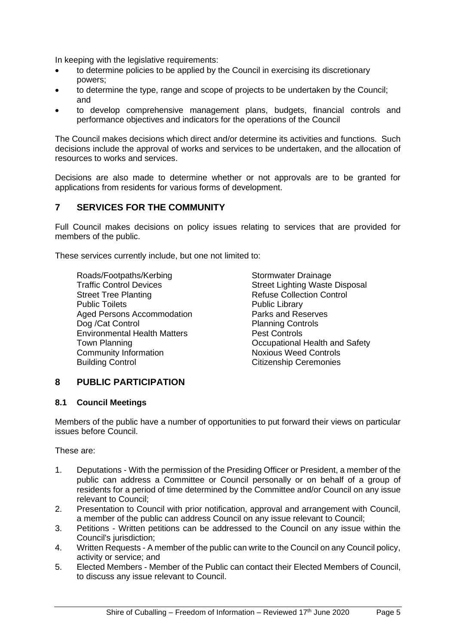In keeping with the legislative requirements:

- to determine policies to be applied by the Council in exercising its discretionary powers;
- to determine the type, range and scope of projects to be undertaken by the Council; and
- to develop comprehensive management plans, budgets, financial controls and performance objectives and indicators for the operations of the Council

The Council makes decisions which direct and/or determine its activities and functions. Such decisions include the approval of works and services to be undertaken, and the allocation of resources to works and services.

Decisions are also made to determine whether or not approvals are to be granted for applications from residents for various forms of development.

## **7 SERVICES FOR THE COMMUNITY**

Full Council makes decisions on policy issues relating to services that are provided for members of the public.

These services currently include, but one not limited to:

Roads/Footpaths/Kerbing<br>
Traffic Control Devices<br>
Street Lighting Waste Street Tree Planting<br>
Public Toilets<br>
Public Library<br>
Public Library **Public Toilets** Aged Persons Accommodation Parks and Reserves Dog /Cat Control **Planning Controls** Environmental Health Matters<br>
Town Planning<br>
Occupational Community Information Noxious Weed Controls Building Control **Citizenship Ceremonies** 

Street Lighting Waste Disposal Occupational Health and Safety

## **8 PUBLIC PARTICIPATION**

#### **8.1 Council Meetings**

Members of the public have a number of opportunities to put forward their views on particular issues before Council.

These are:

- 1. Deputations With the permission of the Presiding Officer or President, a member of the public can address a Committee or Council personally or on behalf of a group of residents for a period of time determined by the Committee and/or Council on any issue relevant to Council;
- 2. Presentation to Council with prior notification, approval and arrangement with Council, a member of the public can address Council on any issue relevant to Council;
- 3. Petitions Written petitions can be addressed to the Council on any issue within the Council's jurisdiction;
- 4. Written Requests A member of the public can write to the Council on any Council policy, activity or service; and
- 5. Elected Members Member of the Public can contact their Elected Members of Council, to discuss any issue relevant to Council.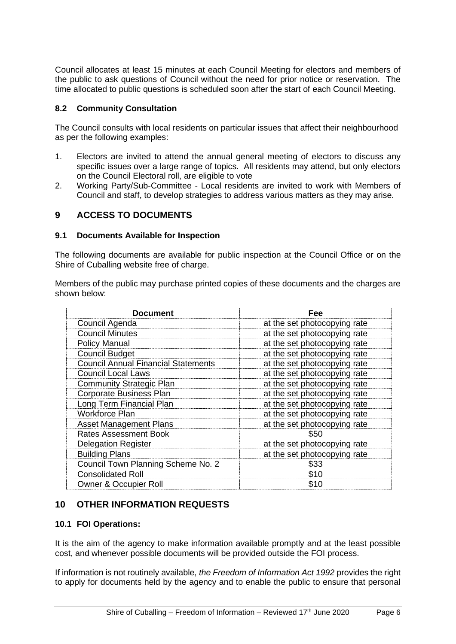Council allocates at least 15 minutes at each Council Meeting for electors and members of the public to ask questions of Council without the need for prior notice or reservation. The time allocated to public questions is scheduled soon after the start of each Council Meeting.

### **8.2 Community Consultation**

The Council consults with local residents on particular issues that affect their neighbourhood as per the following examples:

- 1. Electors are invited to attend the annual general meeting of electors to discuss any specific issues over a large range of topics. All residents may attend, but only electors on the Council Electoral roll, are eligible to vote
- 2. Working Party/Sub-Committee Local residents are invited to work with Members of Council and staff, to develop strategies to address various matters as they may arise.

## **9 ACCESS TO DOCUMENTS**

#### **9.1 Documents Available for Inspection**

The following documents are available for public inspection at the Council Office or on the Shire of Cuballing website free of charge.

Members of the public may purchase printed copies of these documents and the charges are shown below:

| <b>Document</b>                            | Fee                          |
|--------------------------------------------|------------------------------|
| Council Agenda                             | at the set photocopying rate |
| <b>Council Minutes</b>                     | at the set photocopying rate |
| <b>Policy Manual</b>                       | at the set photocopying rate |
| <b>Council Budget</b>                      | at the set photocopying rate |
| <b>Council Annual Financial Statements</b> | at the set photocopying rate |
| <b>Council Local Laws</b>                  | at the set photocopying rate |
| <b>Community Strategic Plan</b>            | at the set photocopying rate |
| <b>Corporate Business Plan</b>             | at the set photocopying rate |
| Long Term Financial Plan                   | at the set photocopying rate |
| <b>Workforce Plan</b>                      | at the set photocopying rate |
| <b>Asset Management Plans</b>              | at the set photocopying rate |
| <b>Rates Assessment Book</b>               | \$50                         |
| <b>Delegation Register</b>                 | at the set photocopying rate |
| <b>Building Plans</b>                      | at the set photocopying rate |
| Council Town Planning Scheme No. 2         | \$33                         |
| <b>Consolidated Roll</b>                   | \$10                         |
| <b>Owner &amp; Occupier Roll</b>           | \$10                         |

## **10 OTHER INFORMATION REQUESTS**

#### **10.1 FOI Operations:**

It is the aim of the agency to make information available promptly and at the least possible cost, and whenever possible documents will be provided outside the FOI process.

If information is not routinely available, *the Freedom of Information Act 1992* provides the right to apply for documents held by the agency and to enable the public to ensure that personal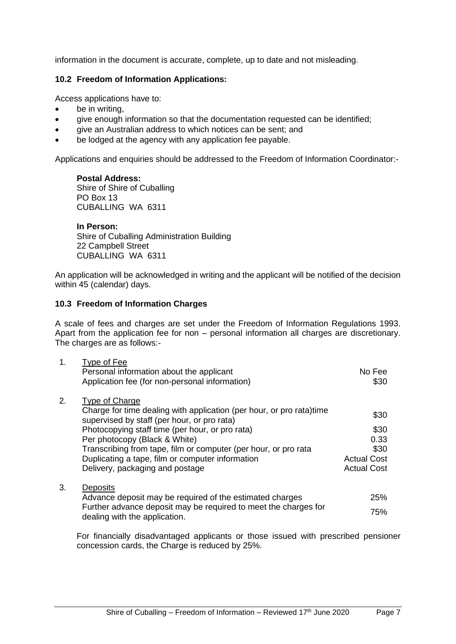information in the document is accurate, complete, up to date and not misleading.

#### **10.2 Freedom of Information Applications:**

Access applications have to:

- be in writing,
- give enough information so that the documentation requested can be identified;
- give an Australian address to which notices can be sent; and
- be lodged at the agency with any application fee payable.

Applications and enquiries should be addressed to the Freedom of Information Coordinator:-

#### **Postal Address:**

Shire of Shire of Cuballing PO Box 13 CUBALLING WA 6311

**In Person:** Shire of Cuballing Administration Building 22 Campbell Street CUBALLING WA 6311

An application will be acknowledged in writing and the applicant will be notified of the decision within 45 (calendar) days.

#### **10.3 Freedom of Information Charges**

A scale of fees and charges are set under the Freedom of Information Regulations 1993. Apart from the application fee for non – personal information all charges are discretionary. The charges are as follows:-

| 1. | Type of Fee<br>Personal information about the applicant<br>Application fee (for non-personal information)                             | No Fee<br>\$30     |
|----|---------------------------------------------------------------------------------------------------------------------------------------|--------------------|
| 2. | Type of Charge<br>Charge for time dealing with application (per hour, or pro rata)time<br>supervised by staff (per hour, or pro rata) | \$30               |
|    | Photocopying staff time (per hour, or pro rata)                                                                                       | \$30               |
|    | Per photocopy (Black & White)                                                                                                         | 0.33               |
|    | Transcribing from tape, film or computer (per hour, or pro rata                                                                       | \$30               |
|    | Duplicating a tape, film or computer information                                                                                      | <b>Actual Cost</b> |
|    | Delivery, packaging and postage                                                                                                       | <b>Actual Cost</b> |
| 3. | <b>Deposits</b>                                                                                                                       |                    |
|    | Advance deposit may be required of the estimated charges                                                                              | 25%                |
|    | Further advance deposit may be required to meet the charges for<br>dealing with the application.                                      | 75%                |

For financially disadvantaged applicants or those issued with prescribed pensioner concession cards, the Charge is reduced by 25%.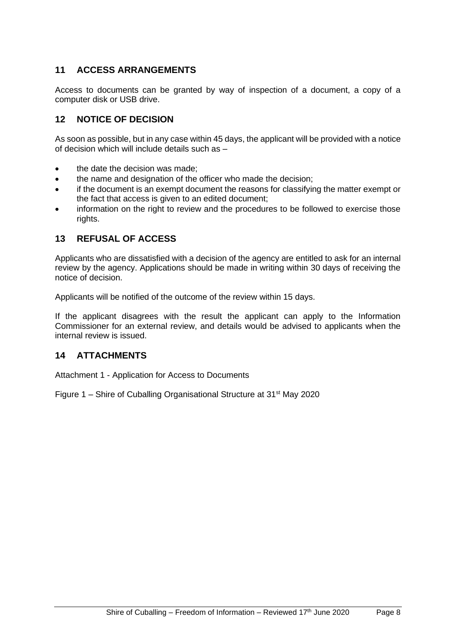## **11 ACCESS ARRANGEMENTS**

Access to documents can be granted by way of inspection of a document, a copy of a computer disk or USB drive.

## **12 NOTICE OF DECISION**

As soon as possible, but in any case within 45 days, the applicant will be provided with a notice of decision which will include details such as –

- the date the decision was made:
- the name and designation of the officer who made the decision;
- if the document is an exempt document the reasons for classifying the matter exempt or the fact that access is given to an edited document;
- information on the right to review and the procedures to be followed to exercise those rights.

## **13 REFUSAL OF ACCESS**

Applicants who are dissatisfied with a decision of the agency are entitled to ask for an internal review by the agency. Applications should be made in writing within 30 days of receiving the notice of decision.

Applicants will be notified of the outcome of the review within 15 days.

If the applicant disagrees with the result the applicant can apply to the Information Commissioner for an external review, and details would be advised to applicants when the internal review is issued.

## **14 ATTACHMENTS**

Attachment 1 - Application for Access to Documents

Figure 1 – Shire of Cuballing Organisational Structure at  $31<sup>st</sup>$  May 2020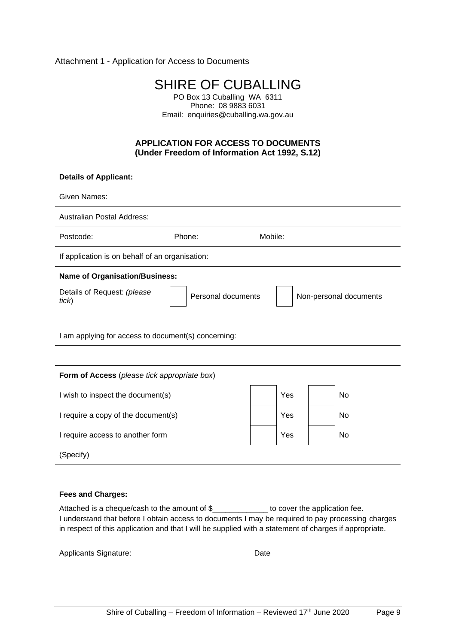Attachment 1 - Application for Access to Documents

SHIRE OF CUBALLING PO Box 13 Cuballing WA 6311

Phone: 08 9883 6031 Email: enquiries@cuballing.wa.gov.au

#### **APPLICATION FOR ACCESS TO DOCUMENTS (Under Freedom of Information Act 1992, S.12)**

| <b>Details of Applicant:</b>                                                         |        |         |     |  |           |
|--------------------------------------------------------------------------------------|--------|---------|-----|--|-----------|
| <b>Given Names:</b>                                                                  |        |         |     |  |           |
| <b>Australian Postal Address:</b>                                                    |        |         |     |  |           |
| Postcode:                                                                            | Phone: | Mobile: |     |  |           |
| If application is on behalf of an organisation:                                      |        |         |     |  |           |
| <b>Name of Organisation/Business:</b>                                                |        |         |     |  |           |
| Details of Request: (please<br>Personal documents<br>Non-personal documents<br>tick) |        |         |     |  |           |
| I am applying for access to document(s) concerning:                                  |        |         |     |  |           |
|                                                                                      |        |         |     |  |           |
| Form of Access (please tick appropriate box)                                         |        |         |     |  |           |
| I wish to inspect the document(s)                                                    |        |         | Yes |  | <b>No</b> |
| I require a copy of the document(s)                                                  |        |         | Yes |  | No        |
| Yes<br>I require access to another form<br>No                                        |        |         |     |  |           |
| (Specify)                                                                            |        |         |     |  |           |

#### **Fees and Charges:**

Attached is a cheque/cash to the amount of \$\_\_\_\_\_\_\_\_\_\_\_\_\_\_ to cover the application fee. I understand that before I obtain access to documents I may be required to pay processing charges in respect of this application and that I will be supplied with a statement of charges if appropriate.

Applicants Signature: Date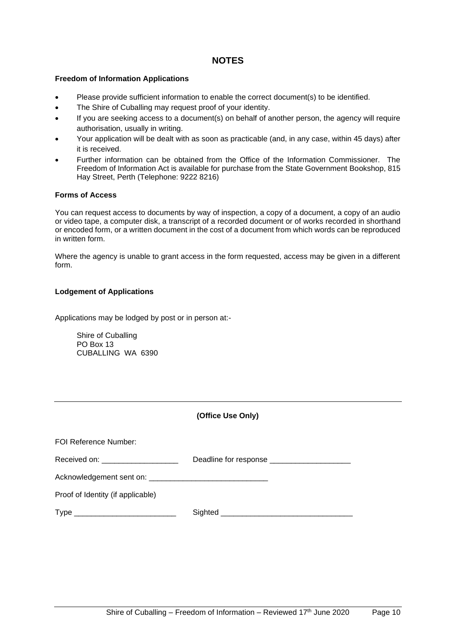## **NOTES**

#### **Freedom of Information Applications**

- Please provide sufficient information to enable the correct document(s) to be identified.
- The Shire of Cuballing may request proof of your identity.
- If you are seeking access to a document(s) on behalf of another person, the agency will require authorisation, usually in writing.
- Your application will be dealt with as soon as practicable (and, in any case, within 45 days) after it is received.
- Further information can be obtained from the Office of the Information Commissioner. The Freedom of Information Act is available for purchase from the State Government Bookshop, 815 Hay Street, Perth (Telephone: 9222 8216)

#### **Forms of Access**

You can request access to documents by way of inspection, a copy of a document, a copy of an audio or video tape, a computer disk, a transcript of a recorded document or of works recorded in shorthand or encoded form, or a written document in the cost of a document from which words can be reproduced in written form.

Where the agency is unable to grant access in the form requested, access may be given in a different form.

#### **Lodgement of Applications**

Applications may be lodged by post or in person at:-

Shire of Cuballing PO Box 13 CUBALLING WA 6390

| (Office Use Only) |  |
|-------------------|--|
|                   |  |

| FOI Reference Number:                                                                                                        |                                               |
|------------------------------------------------------------------------------------------------------------------------------|-----------------------------------------------|
| Received on: ____________________                                                                                            | Deadline for response _______________________ |
|                                                                                                                              |                                               |
| Proof of Identity (if applicable)                                                                                            |                                               |
| Type<br><u> 1989 - Johann Barbara, martin din bashkar a shekara ta 1989 - An tsara tsara tsara tsara tsara tsara tsara t</u> | Sighted                                       |